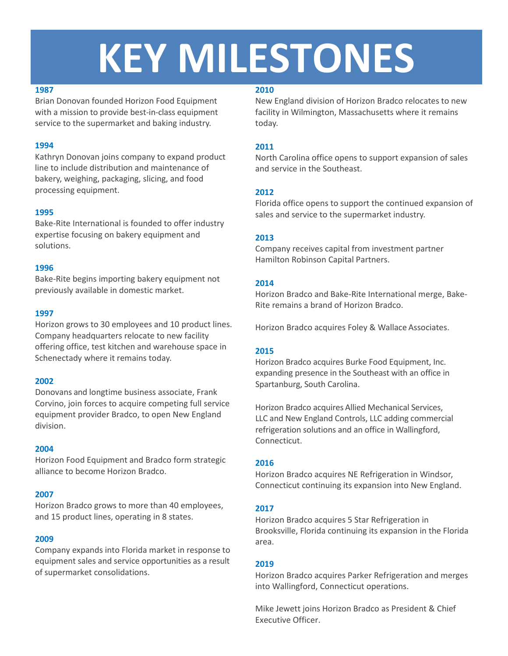# **KEY MILESTONES**

## **1987**

Brian Donovan founded Horizon Food Equipment with a mission to provide best-in-class equipment service to the supermarket and baking industry.

# **1994**

Kathryn Donovan joins company to expand product line to include distribution and maintenance of bakery, weighing, packaging, slicing, and food processing equipment.

# **1995**

Bake-Rite International is founded to offer industry expertise focusing on bakery equipment and solutions.

## **1996**

Bake-Rite begins importing bakery equipment not previously available in domestic market.

## **1997**

Horizon grows to 30 employees and 10 product lines. Company headquarters relocate to new facility offering office, test kitchen and warehouse space in Schenectady where it remains today.

# **2002**

Donovans and longtime business associate, Frank Corvino, join forces to acquire competing full service equipment provider Bradco, to open New England division.

## **2004**

Horizon Food Equipment and Bradco form strategic alliance to become Horizon Bradco.

## **2007**

Horizon Bradco grows to more than 40 employees, and 15 product lines, operating in 8 states.

## **2009**

Company expands into Florida market in response to equipment sales and service opportunities as a result of supermarket consolidations.

## **2010**

New England division of Horizon Bradco relocates to new facility in Wilmington, Massachusetts where it remains today.

# **2011**

North Carolina office opens to support expansion of sales and service in the Southeast.

# **2012**

Florida office opens to support the continued expansion of sales and service to the supermarket industry.

# **2013**

Company receives capital from investment partner Hamilton Robinson Capital Partners.

# **2014**

Horizon Bradco and Bake-Rite International merge, Bake-Rite remains a brand of Horizon Bradco.

Horizon Bradco acquires Foley & Wallace Associates.

# **2015**

Horizon Bradco acquires Burke Food Equipment, Inc. expanding presence in the Southeast with an office in Spartanburg, South Carolina.

Horizon Bradco acquires Allied Mechanical Services, LLC and New England Controls, LLC adding commercial refrigeration solutions and an office in Wallingford, Connecticut.

# **2016**

Horizon Bradco acquires NE Refrigeration in Windsor, Connecticut continuing its expansion into New England.

# **2017**

Horizon Bradco acquires 5 Star Refrigeration in Brooksville, Florida continuing its expansion in the Florida area.

## **2019**

Horizon Bradco acquires Parker Refrigeration and merges into Wallingford, Connecticut operations.

Mike Jewett joins Horizon Bradco as President & Chief Executive Officer.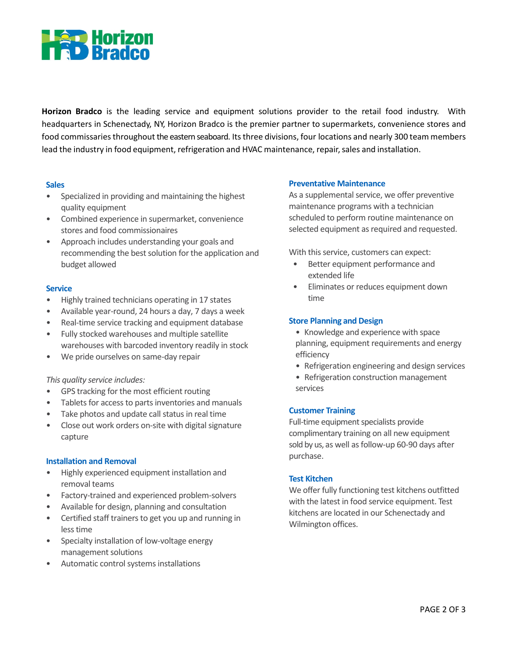

**Horizon Bradco** is the leading service and equipment solutions provider to the retail food industry. With headquarters in Schenectady, NY, Horizon Bradco is the premier partner to supermarkets, convenience stores and food commissaries throughout the eastern seaboard. Its three divisions, four locations and nearly 300 team members lead the industry in food equipment, refrigeration and HVAC maintenance, repair, sales and installation.

#### **Sales**

- Specialized in providing and maintaining the highest quality equipment
- Combined experience in supermarket, convenience stores and food commissionaires
- Approach includes understanding your goals and recommending the best solution for the application and budget allowed

#### **Service**

- Highly trained technicians operating in 17 states
- Available year-round, 24 hours a day, 7 days a week
- Real-time service tracking and equipment database
- Fully stocked warehouses and multiple satellite warehouses with barcoded inventory readily in stock
- We pride ourselves on same-day repair

#### *This quality service includes:*

- GPS tracking for the most efficient routing
- Tablets for access to parts inventories and manuals
- Take photos and update call status in real time
- Close out work orders on-site with digital signature capture

#### **Installation and Removal**

- Highly experienced equipment installation and removal teams
- Factory-trained and experienced problem-solvers
- Available for design, planning and consultation
- Certified staff trainers to get you up and running in less time
- Specialty installation of low-voltage energy management solutions
- Automatic control systems installations

#### **Preventative Maintenance**

As a supplemental service, we offer preventive maintenance programs with a technician scheduled to perform routine maintenance on selected equipment as required and requested.

With this service, customers can expect:

- Better equipment performance and extended life
- Eliminates or reduces equipment down time

#### **Store Planning and Design**

- Knowledge and experience with space planning, equipment requirements and energy efficiency
- Refrigeration engineering and design services
- Refrigeration construction management services

#### **Customer Training**

Full-time equipment specialists provide complimentary training on all new equipment sold by us, as well as follow-up 60-90 days after purchase.

#### **Test Kitchen**

We offer fully functioning test kitchens outfitted with the latest in food service equipment. Test kitchens are located in our Schenectady and Wilmington offices.